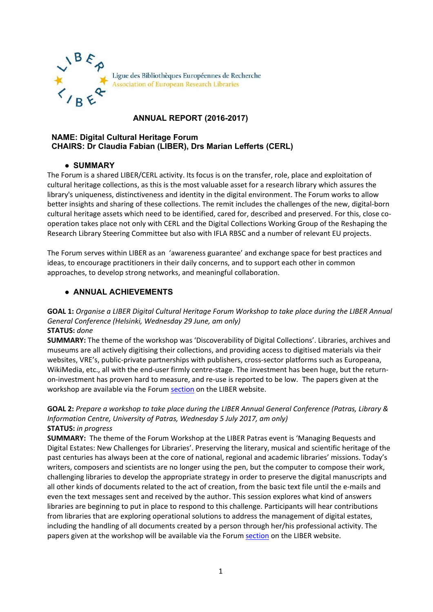

# **ANNUAL REPORT (2016-2017)**

#### **NAME: Digital Cultural Heritage Forum CHAIRS: Dr Claudia Fabian (LIBER), Drs Marian Lefferts (CERL)**

## ● **SUMMARY**

The Forum is a shared LIBER/CERL activity. Its focus is on the transfer, role, place and exploitation of cultural heritage collections, as this is the most valuable asset for a research library which assures the library's uniqueness, distinctiveness and identity in the digital environment. The Forum works to allow better insights and sharing of these collections. The remit includes the challenges of the new, digital-born cultural heritage assets which need to be identified, cared for, described and preserved. For this, close cooperation takes place not only with CERL and the Digital Collections Working Group of the Reshaping the Research Library Steering Committee but also with IFLA RBSC and a number of relevant EU projects.

The Forum serves within LIBER as an 'awareness guarantee' and exchange space for best practices and ideas, to encourage practitioners in their daily concerns, and to support each other in common approaches, to develop strong networks, and meaningful collaboration.

## ● **ANNUAL ACHIEVEMENTS**

**GOAL 1:** *Organise a LIBER Digital Cultural Heritage Forum Workshop to take place during the LIBER Annual General Conference (Helsinki, Wednesday 29 June, am only)*  **STATUS:** *done*

**SUMMARY:** The theme of the workshop was 'Discoverability of Digital Collections'. Libraries, archives and museums are all actively digitising their collections, and providing access to digitised materials via their websites, VRE's, public-private partnerships with publishers, cross-sector platforms such as Europeana, WikiMedia, etc., all with the end-user firmly centre-stage. The investment has been huge, but the returnon-investment has proven hard to measure, and re-use is reported to be low. The papers given at the workshop are available via the Forum [section](http://libereurope.eu/digitalculturalheritageforum/) on the LIBER website.

**GOAL 2:** *Prepare a workshop to take place during the LIBER Annual General Conference (Patras, Library & Information Centre, University of Patras, Wednesday 5 July 2017, am only)*  **STATUS:** *in progress*

**SUMMARY:** The theme of the Forum Workshop at the LIBER Patras event is 'Managing Bequests and Digital Estates: New Challenges for Libraries'. Preserving the literary, musical and scientific heritage of the past centuries has always been at the core of national, regional and academic libraries' missions. Today's writers, composers and scientists are no longer using the pen, but the computer to compose their work, challenging libraries to develop the appropriate strategy in order to preserve the digital manuscripts and all other kinds of documents related to the act of creation, from the basic text file until the e-mails and even the text messages sent and received by the author. This session explores what kind of answers libraries are beginning to put in place to respond to this challenge. Participants will hear contributions from libraries that are exploring operational solutions to address the management of digital estates, including the handling of all documents created by a person through her/his professional activity. The papers given at the workshop will be available via the Forum [section](http://libereurope.eu/digitalculturalheritageforum/) on the LIBER website.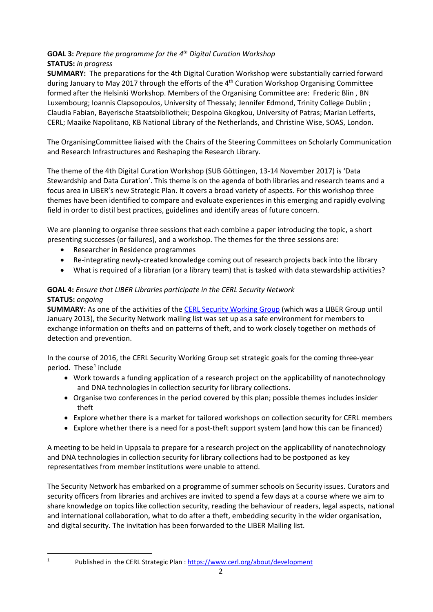## **GOAL 3:** *Prepare the programme for the 4th Digital Curation Workshop*  **STATUS:** *in progress*

**SUMMARY:** The preparations for the 4th Digital Curation Workshop were substantially carried forward during January to May 2017 through the efforts of the 4<sup>th</sup> Curation Workshop Organising Committee formed after the Helsinki Workshop. Members of the Organising Committee are: Frederic Blin , BN Luxembourg; Ioannis Clapsopoulos, University of Thessaly; Jennifer Edmond, Trinity College Dublin ; Claudia Fabian, Bayerische Staatsbibliothek; Despoina Gkogkou, University of Patras; Marian Lefferts, CERL; Maaike Napolitano, KB National Library of the Netherlands, and Christine Wise, SOAS, London.

The OrganisingCommittee liaised with the Chairs of the Steering Committees on Scholarly Communication and Research Infrastructures and Reshaping the Research Library.

The theme of the 4th Digital Curation Workshop (SUB Göttingen, 13-14 November 2017) is 'Data Stewardship and Data Curation'. This theme is on the agenda of both libraries and research teams and a focus area in LIBER's new Strategic Plan. It covers a broad variety of aspects. For this workshop three themes have been identified to compare and evaluate experiences in this emerging and rapidly evolving field in order to distil best practices, guidelines and identify areas of future concern.

We are planning to organise three sessions that each combine a paper introducing the topic, a short presenting successes (or failures), and a workshop. The themes for the three sessions are:

- Researcher in Residence programmes
- Re-integrating newly-created knowledge coming out of research projects back into the library
- What is required of a librarian (or a library team) that is tasked with data stewardship activities?

# **GOAL 4:** *Ensure that LIBER Libraries participate in the CERL Security Network* **STATUS:** *ongoing*

**SUMMARY:** As one of the activities of th[e CERL Security Working Group](https://www.cerl.org/collaboration/security) (which was a LIBER Group until January 2013), the Security Network mailing list was set up as a safe environment for members to exchange information on thefts and on patterns of theft, and to work closely together on methods of detection and prevention.

In the course of 2016, the CERL Security Working Group set strategic goals for the coming three-year period. These $<sup>1</sup>$  $<sup>1</sup>$  $<sup>1</sup>$  include</sup>

- Work towards a funding application of a research project on the applicability of nanotechnology and DNA technologies in collection security for library collections.
- Organise two conferences in the period covered by this plan; possible themes includes insider theft
- Explore whether there is a market for tailored workshops on collection security for CERL members
- Explore whether there is a need for a post-theft support system (and how this can be financed)

A meeting to be held in Uppsala to prepare for a research project on the applicability of nanotechnology and DNA technologies in collection security for library collections had to be postponed as key representatives from member institutions were unable to attend.

The Security Network has embarked on a programme of summer schools on Security issues. Curators and security officers from libraries and archives are invited to spend a few days at a course where we aim to share knowledge on topics like collection security, reading the behaviour of readers, legal aspects, national and international collaboration, what to do after a theft, embedding security in the wider organisation, and digital security. The invitation has been forwarded to the LIBER Mailing list.

<span id="page-1-0"></span><sup>&</sup>lt;sup>1</sup> Published in the CERL Strategic Plan :<https://www.cerl.org/about/development>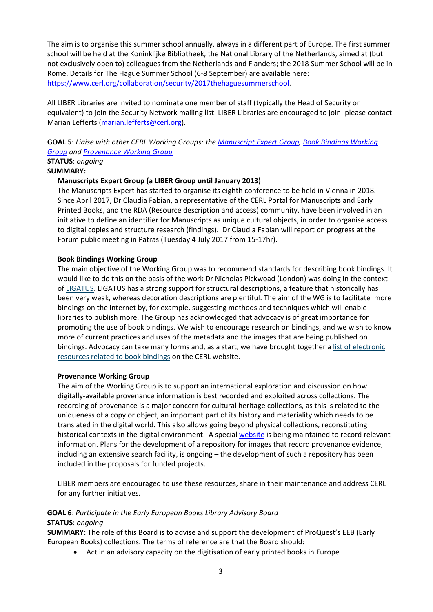The aim is to organise this summer school annually, always in a different part of Europe. The first summer school will be held at the Koninklijke Bibliotheek, the National Library of the Netherlands, aimed at (but not exclusively open to) colleagues from the Netherlands and Flanders; the 2018 Summer School will be in Rome. Details for The Hague Summer School (6-8 September) are available here: [https://www.cerl.org/collaboration/security/2017thehaguesummerschool.](https://www.cerl.org/collaboration/security/2017thehaguesummerschool)

All LIBER Libraries are invited to nominate one member of staff (typically the Head of Security or equivalent) to join the Security Network mailing list. LIBER Libraries are encouraged to join: please contact Marian Lefferts [\(marian.lefferts@cerl.org\)](mailto:marian.lefferts@cerl.org).

**GOAL 5**: *Liaise with other CERL Working Groups: the [Manuscript Expert Group,](https://www.cerl.org/collaboration/manuscriptexperts/main) [Book Bindings Working](https://www.cerl.org/collaboration/work/binding/main)  [Group](https://www.cerl.org/collaboration/work/binding/main) an[d Provenance Working Group](https://www.cerl.org/collaboration/work/provenance/main)*

# **STATUS**: *ongoing*

## **SUMMARY:**

#### **Manuscripts Expert Group (a LIBER Group until January 2013)**

The Manuscripts Expert has started to organise its eighth conference to be held in Vienna in 2018. Since April 2017, Dr Claudia Fabian, a representative of the CERL Portal for Manuscripts and Early Printed Books, and the RDA (Resource description and access) community, have been involved in an initiative to define an identifier for Manuscripts as unique cultural objects, in order to organise access to digital copies and structure research (findings). Dr Claudia Fabian will report on progress at the Forum public meeting in Patras (Tuesday 4 July 2017 from 15-17hr).

#### **Book Bindings Working Group**

The main objective of the Working Group was to recommend standards for describing book bindings. It would like to do this on the basis of the work Dr Nicholas Pickwoad (London) was doing in the context of [LIGATUS.](http://www.ligatus.org.uk/) LIGATUS has a strong support for structural descriptions, a feature that historically has been very weak, whereas decoration descriptions are plentiful. The aim of the WG is to facilitate more bindings on the internet by, for example, suggesting methods and techniques which will enable libraries to publish more. The Group has acknowledged that advocacy is of great importance for promoting the use of book bindings. We wish to encourage research on bindings, and we wish to know more of current practices and uses of the metadata and the images that are being published on bindings. Advocacy can take many forms and, as a start, we have brought together a [list of electronic](https://www.cerl.org/collaboration/work/binding/main#resources)  [resources related to book bindings](https://www.cerl.org/collaboration/work/binding/main#resources) on the CERL website.

#### **Provenance Working Group**

The aim of the Working Group is to support an international exploration and discussion on how digitally-available provenance information is best recorded and exploited across collections. The recording of provenance is a major concern for cultural heritage collections, as this is related to the uniqueness of a copy or object, an important part of its history and materiality which needs to be translated in the digital world. This also allows going beyond physical collections, reconstituting historical contexts in the digital environment. A special [website](https://www.cerl.org/resources/provenance/geographical) is being maintained to record relevant information. Plans for the development of a repository for images that record provenance evidence, including an extensive search facility, is ongoing – the development of such a repository has been included in the proposals for funded projects.

LIBER members are encouraged to use these resources, share in their maintenance and address CERL for any further initiatives.

#### **GOAL 6**: *Participate in the Early European Books Library Advisory Board* **STATUS**: *ongoing*

**SUMMARY:** The role of this Board is to advise and support the development of ProQuest's EEB (Early European Books) collections. The terms of reference are that the Board should:

• Act in an advisory capacity on the digitisation of early printed books in Europe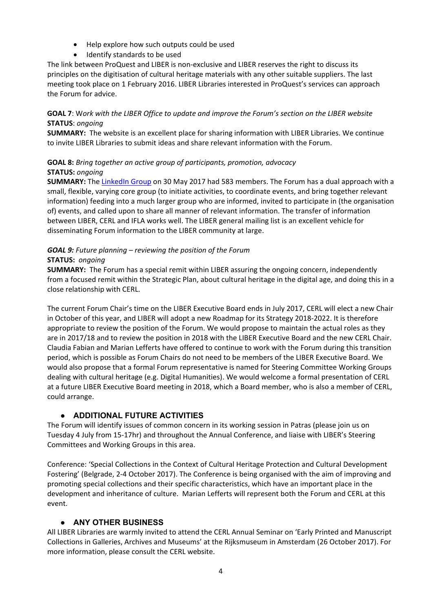- Help explore how such outputs could be used
- Identify standards to be used

The link between ProQuest and LIBER is non-exclusive and LIBER reserves the right to discuss its principles on the digitisation of cultural heritage materials with any other suitable suppliers. The last meeting took place on 1 February 2016. LIBER Libraries interested in ProQuest's services can approach the Forum for advice.

## **GOAL 7**: W*ork with the LIBER Office to update and improve the Forum's section on the LIBER website*  **STATUS**: *ongoing*

**SUMMARY:** The website is an excellent place for sharing information with LIBER Libraries. We continue to invite LIBER Libraries to submit ideas and share relevant information with the Forum.

## **GOAL 8:** *Bring together an active group of participants, promotion, advocacy* **STATUS:** *ongoing*

**SUMMARY:** The [LinkedIn Group](https://www.linkedin.com/groups?viewMembers=&gid=3315506&sik=1400754295013) on 30 May 2017 had 583 members. The Forum has a dual approach with a small, flexible, varying core group (to initiate activities, to coordinate events, and bring together relevant information) feeding into a much larger group who are informed, invited to participate in (the organisation of) events, and called upon to share all manner of relevant information. The transfer of information between LIBER, CERL and IFLA works well. The LIBER general mailing list is an excellent vehicle for disseminating Forum information to the LIBER community at large.

# *GOAL 9: Future planning – reviewing the position of the Forum*

## **STATUS:** *ongoing*

**SUMMARY:** The Forum has a special remit within LIBER assuring the ongoing concern, independently from a focused remit within the Strategic Plan, about cultural heritage in the digital age, and doing this in a close relationship with CERL.

The current Forum Chair's time on the LIBER Executive Board ends in July 2017, CERL will elect a new Chair in October of this year, and LIBER will adopt a new Roadmap for its Strategy 2018-2022. It is therefore appropriate to review the position of the Forum. We would propose to maintain the actual roles as they are in 2017/18 and to review the position in 2018 with the LIBER Executive Board and the new CERL Chair. Claudia Fabian and Marian Lefferts have offered to continue to work with the Forum during this transition period, which is possible as Forum Chairs do not need to be members of the LIBER Executive Board. We would also propose that a formal Forum representative is named for Steering Committee Working Groups dealing with cultural heritage (e.g. Digital Humanities). We would welcome a formal presentation of CERL at a future LIBER Executive Board meeting in 2018, which a Board member, who is also a member of CERL, could arrange.

## ● **ADDITIONAL FUTURE ACTIVITIES**

The Forum will identify issues of common concern in its working session in Patras (please join us on Tuesday 4 July from 15-17hr) and throughout the Annual Conference, and liaise with LIBER's Steering Committees and Working Groups in this area.

Conference: 'Special Collections in the Context of Cultural Heritage Protection and Cultural Development Fostering' (Belgrade, 2-4 October 2017). The Conference is being organised with the aim of improving and promoting special collections and their specific characteristics, which have an important place in the development and inheritance of culture. Marian Lefferts will represent both the Forum and CERL at this event.

## ● **ANY OTHER BUSINESS**

All LIBER Libraries are warmly invited to attend the CERL Annual Seminar on 'Early Printed and Manuscript Collections in Galleries, Archives and Museums' at the Rijksmuseum in Amsterdam (26 October 2017). For more information, please consult the CERL website.